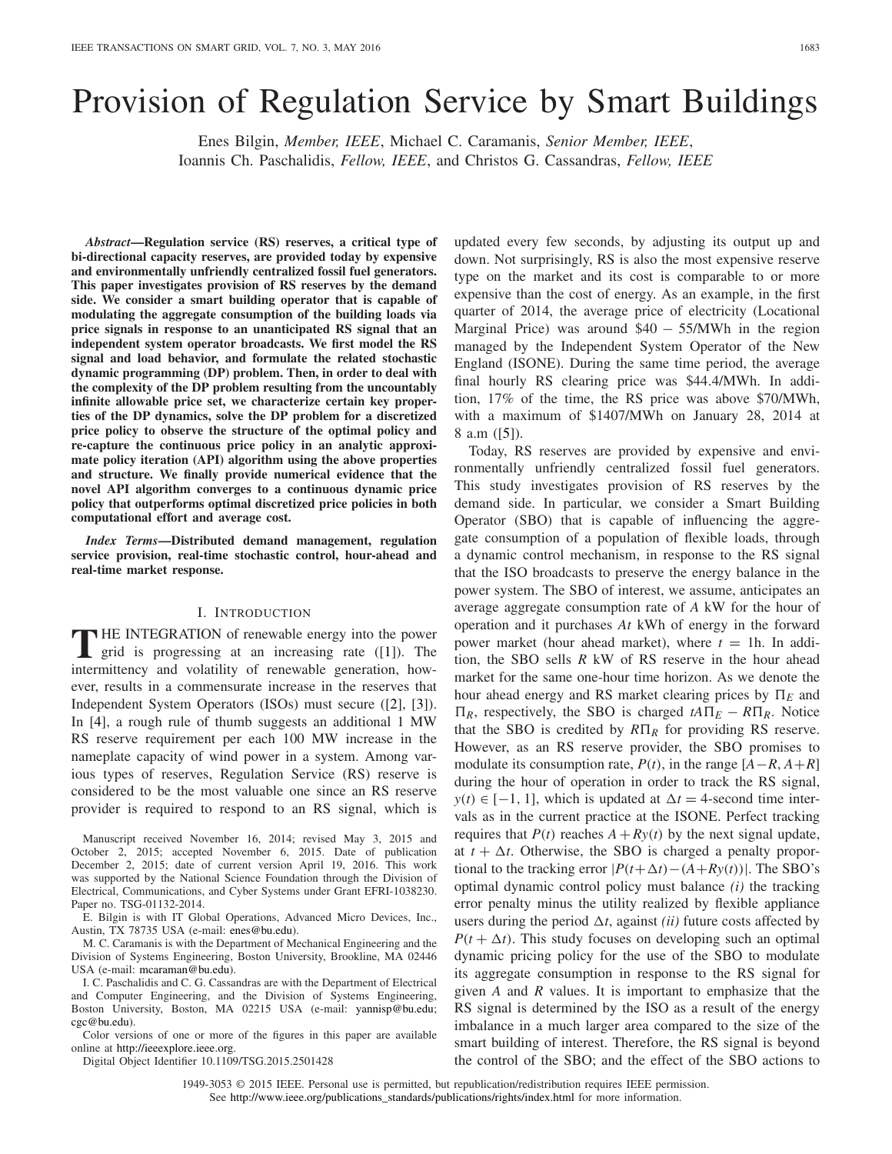# Provision of Regulation Service by Smart Buildings

Enes Bilgin, *Member, IEEE*, Michael C. Caramanis, *Senior Member, IEEE*, Ioannis Ch. Paschalidis, *Fellow, IEEE*, and Christos G. Cassandras, *Fellow, IEEE*

*Abstract***—Regulation service (RS) reserves, a critical type of bi-directional capacity reserves, are provided today by expensive and environmentally unfriendly centralized fossil fuel generators. This paper investigates provision of RS reserves by the demand side. We consider a smart building operator that is capable of modulating the aggregate consumption of the building loads via price signals in response to an unanticipated RS signal that an independent system operator broadcasts. We first model the RS signal and load behavior, and formulate the related stochastic dynamic programming (DP) problem. Then, in order to deal with the complexity of the DP problem resulting from the uncountably infinite allowable price set, we characterize certain key properties of the DP dynamics, solve the DP problem for a discretized price policy to observe the structure of the optimal policy and re-capture the continuous price policy in an analytic approximate policy iteration (API) algorithm using the above properties and structure. We finally provide numerical evidence that the novel API algorithm converges to a continuous dynamic price policy that outperforms optimal discretized price policies in both computational effort and average cost.**

*Index Terms***—Distributed demand management, regulation service provision, real-time stochastic control, hour-ahead and real-time market response.**

#### I. INTRODUCTION

**T** HE INTEGRATION of renewable energy into the power grid is progressing at an increasing rate ([1]). The intermittency and volatility of renewable generation, however, results in a commensurate increase in the reserves that Independent System Operators (ISOs) must secure ([2], [3]). In [4], a rough rule of thumb suggests an additional 1 MW RS reserve requirement per each 100 MW increase in the nameplate capacity of wind power in a system. Among various types of reserves, Regulation Service (RS) reserve is considered to be the most valuable one since an RS reserve provider is required to respond to an RS signal, which is

Manuscript received November 16, 2014; revised May 3, 2015 and October 2, 2015; accepted November 6, 2015. Date of publication December 2, 2015; date of current version April 19, 2016. This work was supported by the National Science Foundation through the Division of Electrical, Communications, and Cyber Systems under Grant EFRI-1038230. Paper no. TSG-01132-2014.

E. Bilgin is with IT Global Operations, Advanced Micro Devices, Inc., Austin, TX 78735 USA (e-mail: enes@bu.edu).

M. C. Caramanis is with the Department of Mechanical Engineering and the Division of Systems Engineering, Boston University, Brookline, MA 02446 USA (e-mail: mcaraman@bu.edu).

I. C. Paschalidis and C. G. Cassandras are with the Department of Electrical and Computer Engineering, and the Division of Systems Engineering, Boston University, Boston, MA 02215 USA (e-mail: yannisp@bu.edu; cgc@bu.edu).

Color versions of one or more of the figures in this paper are available online at http://ieeexplore.ieee.org.

Digital Object Identifier 10.1109/TSG.2015.2501428

updated every few seconds, by adjusting its output up and down. Not surprisingly, RS is also the most expensive reserve type on the market and its cost is comparable to or more expensive than the cost of energy. As an example, in the first quarter of 2014, the average price of electricity (Locational Marginal Price) was around  $$40 - 55/MWh$  in the region managed by the Independent System Operator of the New England (ISONE). During the same time period, the average final hourly RS clearing price was \$44.4/MWh. In addition, 17% of the time, the RS price was above \$70/MWh, with a maximum of \$1407/MWh on January 28, 2014 at 8 a.m ([5]).

Today, RS reserves are provided by expensive and environmentally unfriendly centralized fossil fuel generators. This study investigates provision of RS reserves by the demand side. In particular, we consider a Smart Building Operator (SBO) that is capable of influencing the aggregate consumption of a population of flexible loads, through a dynamic control mechanism, in response to the RS signal that the ISO broadcasts to preserve the energy balance in the power system. The SBO of interest, we assume, anticipates an average aggregate consumption rate of *A* kW for the hour of operation and it purchases *At* kWh of energy in the forward power market (hour ahead market), where  $t = 1$ h. In addition, the SBO sells *R* kW of RS reserve in the hour ahead market for the same one-hour time horizon. As we denote the hour ahead energy and RS market clearing prices by  $\Pi_E$  and  $\Pi_R$ , respectively, the SBO is charged  $tA\Pi_E - R\Pi_R$ . Notice that the SBO is credited by  $R\Pi_R$  for providing RS reserve. However, as an RS reserve provider, the SBO promises to modulate its consumption rate,  $P(t)$ , in the range  $[A - R, A + R]$ during the hour of operation in order to track the RS signal,  $y(t) \in [-1, 1]$ , which is updated at  $\Delta t = 4$ -second time intervals as in the current practice at the ISONE. Perfect tracking requires that  $P(t)$  reaches  $A + Ry(t)$  by the next signal update, at  $t + \Delta t$ . Otherwise, the SBO is charged a penalty proportional to the tracking error  $|P(t+\Delta t) - (A+Ry(t))|$ . The SBO's optimal dynamic control policy must balance *(i)* the tracking error penalty minus the utility realized by flexible appliance users during the period  $\Delta t$ , against *(ii)* future costs affected by  $P(t + \Delta t)$ . This study focuses on developing such an optimal dynamic pricing policy for the use of the SBO to modulate its aggregate consumption in response to the RS signal for given *A* and *R* values. It is important to emphasize that the RS signal is determined by the ISO as a result of the energy imbalance in a much larger area compared to the size of the smart building of interest. Therefore, the RS signal is beyond the control of the SBO; and the effect of the SBO actions to

1949-3053 © 2015 IEEE. Personal use is permitted, but republication/redistribution requires IEEE permission. See http://www.ieee.org/publications\_standards/publications/rights/index.html for more information.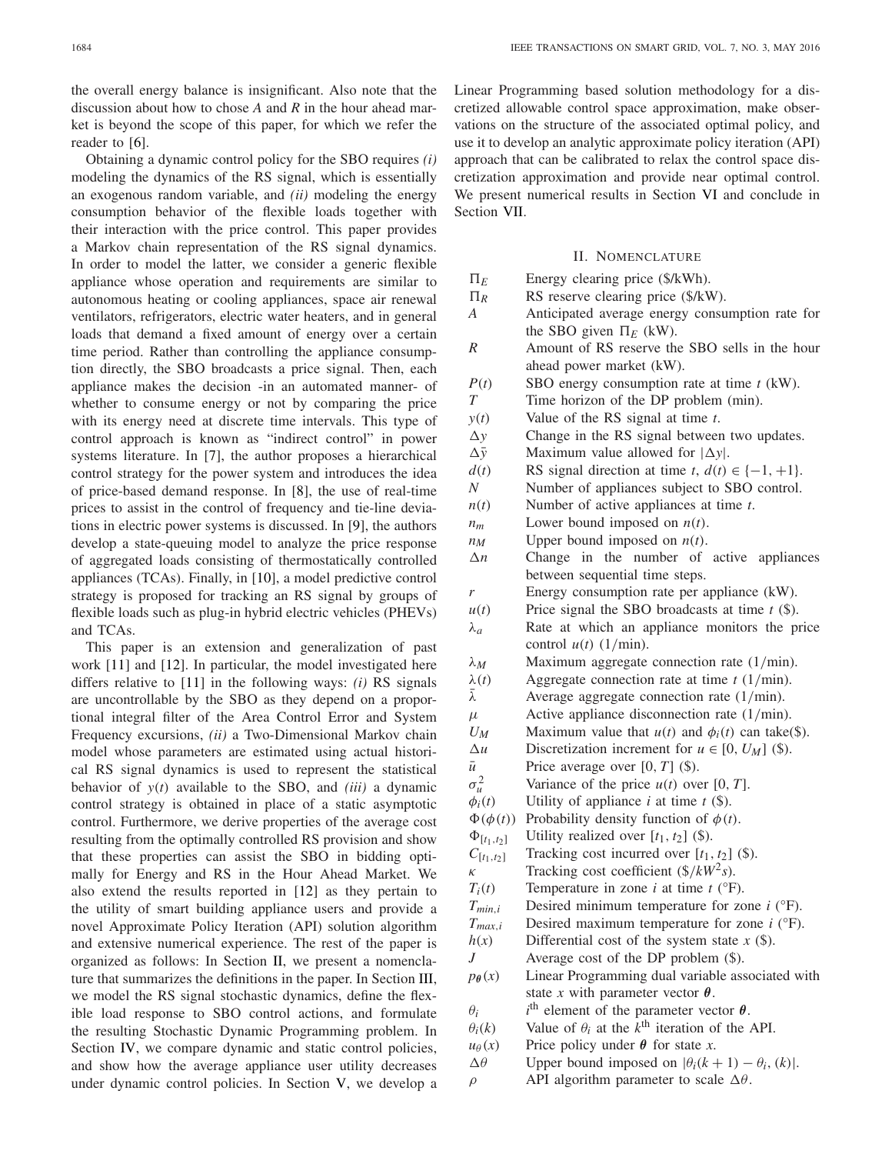the overall energy balance is insignificant. Also note that the discussion about how to chose *A* and *R* in the hour ahead market is beyond the scope of this paper, for which we refer the reader to [6].

Obtaining a dynamic control policy for the SBO requires *(i)* modeling the dynamics of the RS signal, which is essentially an exogenous random variable, and *(ii)* modeling the energy consumption behavior of the flexible loads together with their interaction with the price control. This paper provides a Markov chain representation of the RS signal dynamics. In order to model the latter, we consider a generic flexible appliance whose operation and requirements are similar to autonomous heating or cooling appliances, space air renewal ventilators, refrigerators, electric water heaters, and in general loads that demand a fixed amount of energy over a certain time period. Rather than controlling the appliance consumption directly, the SBO broadcasts a price signal. Then, each appliance makes the decision -in an automated manner- of whether to consume energy or not by comparing the price with its energy need at discrete time intervals. This type of control approach is known as "indirect control" in power systems literature. In [7], the author proposes a hierarchical control strategy for the power system and introduces the idea of price-based demand response. In [8], the use of real-time prices to assist in the control of frequency and tie-line deviations in electric power systems is discussed. In [9], the authors develop a state-queuing model to analyze the price response of aggregated loads consisting of thermostatically controlled appliances (TCAs). Finally, in [10], a model predictive control strategy is proposed for tracking an RS signal by groups of flexible loads such as plug-in hybrid electric vehicles (PHEVs) and TCAs.

This paper is an extension and generalization of past work [11] and [12]. In particular, the model investigated here differs relative to [11] in the following ways: *(i)* RS signals are uncontrollable by the SBO as they depend on a proportional integral filter of the Area Control Error and System Frequency excursions, *(ii)* a Two-Dimensional Markov chain model whose parameters are estimated using actual historical RS signal dynamics is used to represent the statistical behavior of *y*(*t*) available to the SBO, and *(iii)* a dynamic control strategy is obtained in place of a static asymptotic control. Furthermore, we derive properties of the average cost resulting from the optimally controlled RS provision and show that these properties can assist the SBO in bidding optimally for Energy and RS in the Hour Ahead Market. We also extend the results reported in [12] as they pertain to the utility of smart building appliance users and provide a novel Approximate Policy Iteration (API) solution algorithm and extensive numerical experience. The rest of the paper is organized as follows: In Section II, we present a nomenclature that summarizes the definitions in the paper. In Section III, we model the RS signal stochastic dynamics, define the flexible load response to SBO control actions, and formulate the resulting Stochastic Dynamic Programming problem. In Section IV, we compare dynamic and static control policies, and show how the average appliance user utility decreases under dynamic control policies. In Section V, we develop a Linear Programming based solution methodology for a discretized allowable control space approximation, make observations on the structure of the associated optimal policy, and use it to develop an analytic approximate policy iteration (API) approach that can be calibrated to relax the control space discretization approximation and provide near optimal control. We present numerical results in Section VI and conclude in Section VII.

- II. NOMENCLATURE  $\Pi_E$ Energy clearing price (\$/kWh).  $\Pi_R$ *R* RS reserve clearing price (\$/kW). *A* Anticipated average energy consumption rate for the SBO given  $\Pi_E$  (kW). *R* Amount of RS reserve the SBO sells in the hour ahead power market (kW). *P*(*t*) SBO energy consumption rate at time *t* (kW). *T* Time horizon of the DP problem (min). *y*(*t*) Value of the RS signal at time *t*.  $\Delta y$  Change in the RS signal between two updates.  $\Delta \bar{y}$  Maximum value allowed for  $|\Delta y|$ . *d*(*t*) RS signal direction at time *t*,  $d(t) \in \{-1, +1\}$ . *N* Number of appliances subject to SBO control. *n*(*t*) Number of active appliances at time *t*. *nm* Lower bound imposed on *n*(*t*).  $n_M$  Upper bound imposed on  $n(t)$ .  $\Delta n$  Change in the number of active appliances between sequential time steps. *r* Energy consumption rate per appliance (kW).  $u(t)$  Price signal the SBO broadcasts at time  $t$  (\$). λ*a* Rate at which an appliance monitors the price control  $u(t)$  (1/min). λ*M* Maximum aggregate connection rate (1/min).  $\lambda(t)$  Aggregate connection rate at time *t* (1/min).  $\bar{\lambda}$  Average aggregate connection rate (1/min).  $\mu$  Active appliance disconnection rate (1/min). *U<sub>M</sub>* Maximum value that  $u(t)$  and  $\phi_i(t)$  can take(\$).  $\Delta u$  Discretization increment for  $u \in [0, U_M]$  (\$).  $\bar{u}$  Price average over [0, *T*] (\$).  $\sigma_u^2$ Variance of the price  $u(t)$  over [0, *T*].  $\phi_i(t)$  Utility of appliance *i* at time *t* (\$).  $\Phi(\phi(t))$  Probability density function of  $\phi(t)$ .  $\Phi_{[t_1,t_2]}$  Utility realized over  $[t_1, t_2]$  (\$).  $C_{[t_1,t_2]}$  Tracking cost incurred over [ $t_1, t_2$ ] (\$).  $\kappa$  Tracking cost coefficient (\$/ $kW^2$ *s*).  $T_i(t)$  Temperature in zone *i* at time *t* ( ${}^{\circ}$ F). *Tmin*,*<sup>i</sup>* Desired minimum temperature for zone *i* (°F).  $T_{max,i}$  Desired maximum temperature for zone *i* ( ${}^{\circ}$ F).  $h(x)$  Differential cost of the system state  $x$  (\$). *J* Average cost of the DP problem (\$).  $p_{\theta}(x)$  Linear Programming dual variable associated with state *x* with parameter vector  $\theta$ .  $\theta_i$  $i<sup>th</sup>$  element of the parameter vector  $\theta$ .  $\theta_i(k)$  Value of  $\theta_i$  at the *k*<sup>th</sup> iteration of the API.  $u_{\theta}(x)$  Price policy under  $\theta$  for state *x*.
	-
	- $\Delta\theta$  Upper bound imposed on  $|\theta_i(k+1) \theta_i(k)|$ .
	- $ρ$  API algorithm parameter to scale Δθ.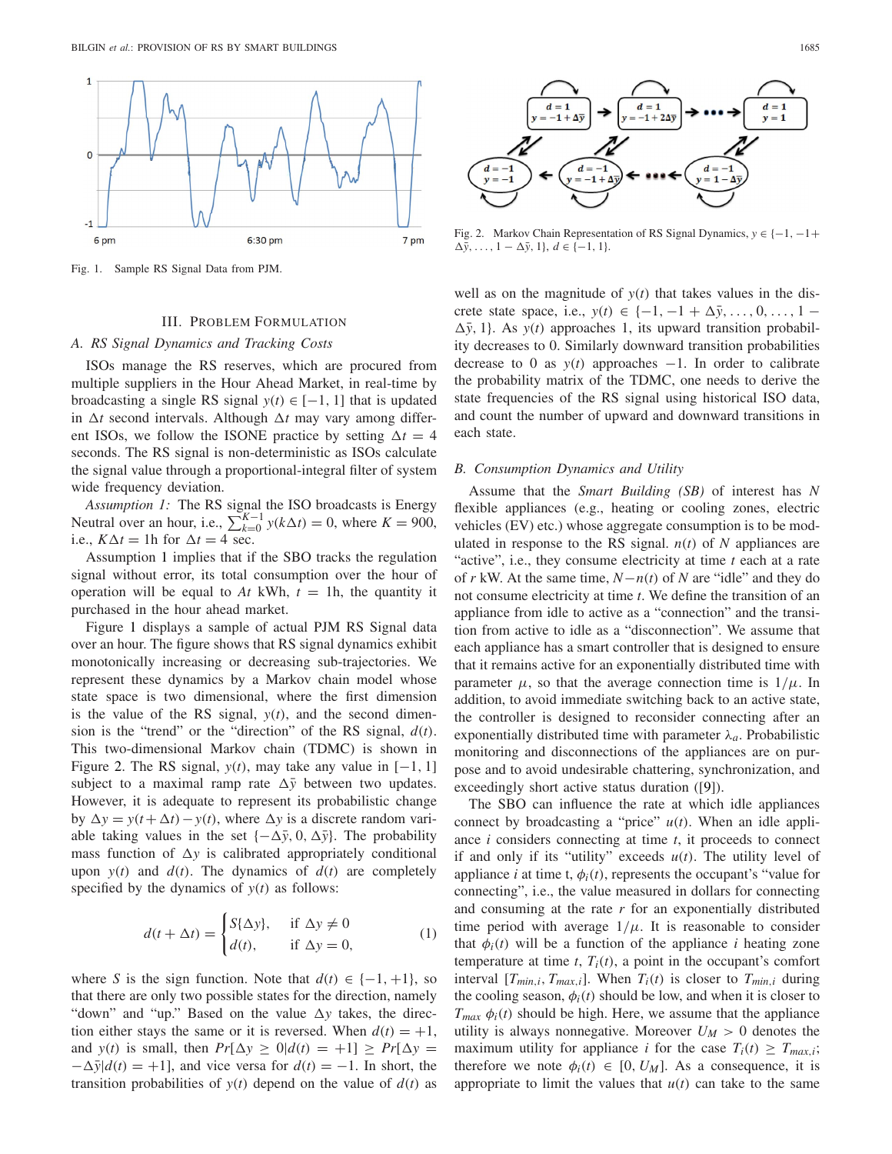

Fig. 1. Sample RS Signal Data from PJM.

#### III. PROBLEM FORMULATION

#### *A. RS Signal Dynamics and Tracking Costs*

ISOs manage the RS reserves, which are procured from multiple suppliers in the Hour Ahead Market, in real-time by broadcasting a single RS signal  $y(t) \in [-1, 1]$  that is updated in  $\Delta t$  second intervals. Although  $\Delta t$  may vary among different ISOs, we follow the ISONE practice by setting  $\Delta t = 4$ seconds. The RS signal is non-deterministic as ISOs calculate the signal value through a proportional-integral filter of system wide frequency deviation.

*Assumption 1:* The RS signal the ISO broadcasts is Energy Neutral over an hour, i.e.,  $\sum_{k=0}^{K-1} y(k\Delta t) = 0$ , where  $K = 900$ , i.e.,  $K\Delta t = 1$ h for  $\Delta t = 4$  sec.

Assumption 1 implies that if the SBO tracks the regulation signal without error, its total consumption over the hour of operation will be equal to  $At$  kWh,  $t = 1$ h, the quantity it purchased in the hour ahead market.

Figure 1 displays a sample of actual PJM RS Signal data over an hour. The figure shows that RS signal dynamics exhibit monotonically increasing or decreasing sub-trajectories. We represent these dynamics by a Markov chain model whose state space is two dimensional, where the first dimension is the value of the RS signal,  $y(t)$ , and the second dimension is the "trend" or the "direction" of the RS signal, *d*(*t*). This two-dimensional Markov chain (TDMC) is shown in Figure 2. The RS signal,  $y(t)$ , may take any value in  $[-1, 1]$ subject to a maximal ramp rate  $\Delta \bar{y}$  between two updates. However, it is adequate to represent its probabilistic change by  $\Delta y = y(t + \Delta t) - y(t)$ , where  $\Delta y$  is a discrete random variable taking values in the set  $\{-\Delta \bar{y}, 0, \Delta \bar{y}\}\$ . The probability mass function of  $\Delta y$  is calibrated appropriately conditional upon  $y(t)$  and  $d(t)$ . The dynamics of  $d(t)$  are completely specified by the dynamics of  $y(t)$  as follows:

$$
d(t + \Delta t) = \begin{cases} S\{\Delta y\}, & \text{if } \Delta y \neq 0\\ d(t), & \text{if } \Delta y = 0, \end{cases}
$$
 (1)

where *S* is the sign function. Note that  $d(t) \in \{-1, +1\}$ , so that there are only two possible states for the direction, namely "down" and "up." Based on the value  $\Delta y$  takes, the direction either stays the same or it is reversed. When  $d(t) = +1$ , and *y*(*t*) is small, then  $Pr[\Delta y \ge 0|d(t) = +1] \ge Pr[\Delta y =$  $-\Delta \bar{y}$ |*d*(*t*) = +1], and vice versa for *d*(*t*) = −1. In short, the transition probabilities of  $y(t)$  depend on the value of  $d(t)$  as



Fig. 2. Markov Chain Representation of RS Signal Dynamics, *y* ∈ {−1, −1+  $\Delta \bar{y}$ , ..., 1 –  $\Delta \bar{y}$ , 1}, *d* ∈ {-1, 1}.

well as on the magnitude of  $y(t)$  that takes values in the discrete state space, i.e.,  $y(t) \in \{-1, -1 + \Delta \bar{y}, \ldots, 0, \ldots, 1 - \}$  $\Delta \bar{y}$ , 1}. As *y*(*t*) approaches 1, its upward transition probability decreases to 0. Similarly downward transition probabilities decrease to 0 as  $y(t)$  approaches  $-1$ . In order to calibrate the probability matrix of the TDMC, one needs to derive the state frequencies of the RS signal using historical ISO data, and count the number of upward and downward transitions in each state.

#### *B. Consumption Dynamics and Utility*

Assume that the *Smart Building (SB)* of interest has *N* flexible appliances (e.g., heating or cooling zones, electric vehicles (EV) etc.) whose aggregate consumption is to be modulated in response to the RS signal.  $n(t)$  of N appliances are "active", i.e., they consume electricity at time *t* each at a rate of *r* kW. At the same time, *N*−*n*(*t*) of *N* are "idle" and they do not consume electricity at time *t*. We define the transition of an appliance from idle to active as a "connection" and the transition from active to idle as a "disconnection". We assume that each appliance has a smart controller that is designed to ensure that it remains active for an exponentially distributed time with parameter  $\mu$ , so that the average connection time is  $1/\mu$ . In addition, to avoid immediate switching back to an active state, the controller is designed to reconsider connecting after an exponentially distributed time with parameter  $\lambda_a$ . Probabilistic monitoring and disconnections of the appliances are on purpose and to avoid undesirable chattering, synchronization, and exceedingly short active status duration ([9]).

The SBO can influence the rate at which idle appliances connect by broadcasting a "price"  $u(t)$ . When an idle appliance *i* considers connecting at time *t*, it proceeds to connect if and only if its "utility" exceeds *u*(*t*). The utility level of appliance *i* at time t,  $\phi_i(t)$ , represents the occupant's "value for connecting", i.e., the value measured in dollars for connecting and consuming at the rate  $r$  for an exponentially distributed time period with average  $1/\mu$ . It is reasonable to consider that  $\phi_i(t)$  will be a function of the appliance *i* heating zone temperature at time  $t$ ,  $T_i(t)$ , a point in the occupant's comfort interval  $[T_{min,i}, T_{max,i}]$ . When  $T_i(t)$  is closer to  $T_{min,i}$  during the cooling season,  $\phi_i(t)$  should be low, and when it is closer to  $T_{max}$   $\phi_i(t)$  should be high. Here, we assume that the appliance utility is always nonnegative. Moreover  $U_M > 0$  denotes the maximum utility for appliance *i* for the case  $T_i(t) \geq T_{max,i}$ ; therefore we note  $\phi_i(t) \in [0, U_M]$ . As a consequence, it is appropriate to limit the values that  $u(t)$  can take to the same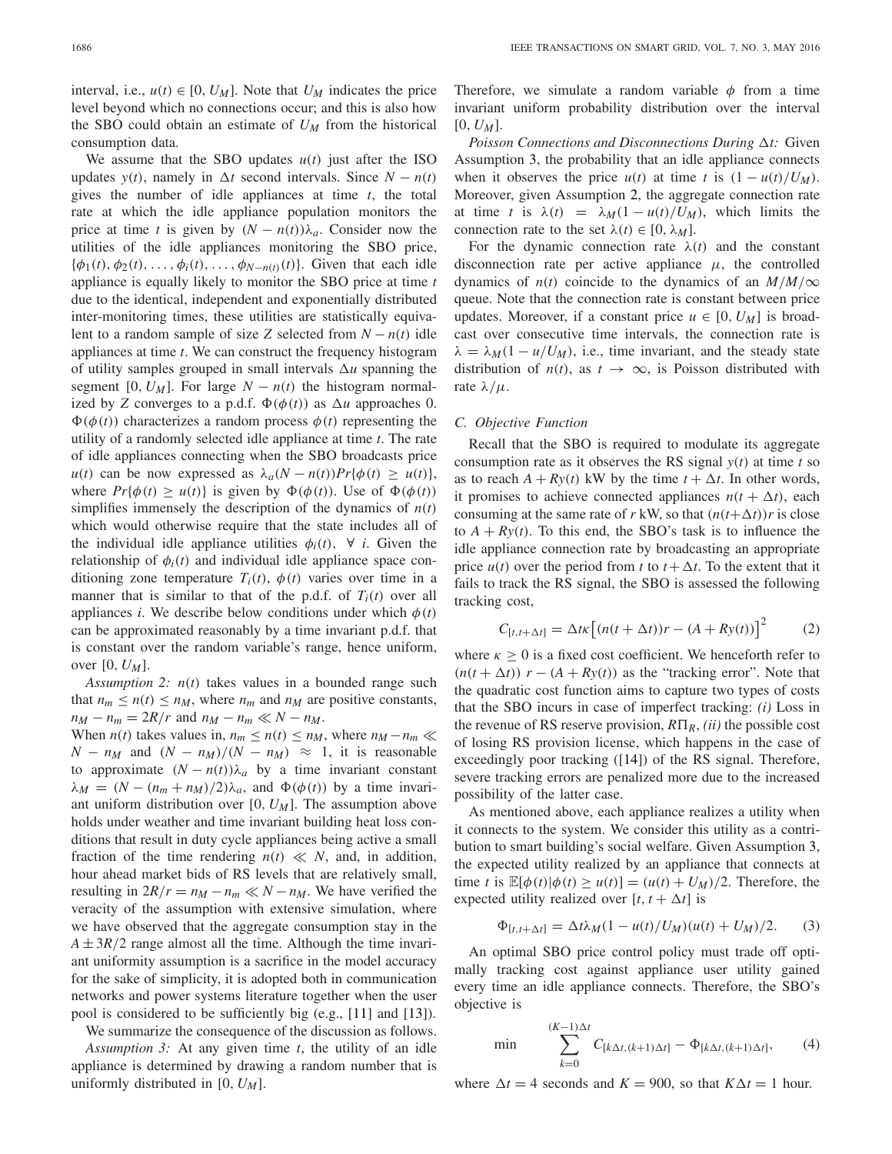interval, i.e.,  $u(t) \in [0, U_M]$ . Note that  $U_M$  indicates the price level beyond which no connections occur; and this is also how the SBO could obtain an estimate of *UM* from the historical consumption data.

We assume that the SBO updates  $u(t)$  just after the ISO updates *y*(*t*), namely in  $\Delta t$  second intervals. Since  $N - n(t)$ gives the number of idle appliances at time *t*, the total rate at which the idle appliance population monitors the price at time *t* is given by  $(N - n(t))\lambda_a$ . Consider now the utilities of the idle appliances monitoring the SBO price,  ${\phi_1(t), \phi_2(t), \ldots, \phi_i(t), \ldots, \phi_{N-n(t)}(t)}$ . Given that each idle appliance is equally likely to monitor the SBO price at time *t* due to the identical, independent and exponentially distributed inter-monitoring times, these utilities are statistically equivalent to a random sample of size *Z* selected from  $N - n(t)$  idle appliances at time *t*. We can construct the frequency histogram of utility samples grouped in small intervals  $\Delta u$  spanning the segment [0,  $U_M$ ]. For large  $N - n(t)$  the histogram normalized by *Z* converges to a p.d.f.  $\Phi(\phi(t))$  as  $\Delta u$  approaches 0.  $\Phi(\phi(t))$  characterizes a random process  $\phi(t)$  representing the utility of a randomly selected idle appliance at time *t*. The rate of idle appliances connecting when the SBO broadcasts price *u*(*t*) can be now expressed as  $\lambda_a(N - n(t))Pr{\phi(t) \geq u(t)}$ , where  $Pr{\phi(t) \geq u(t)}$  is given by  $\Phi(\phi(t))$ . Use of  $\Phi(\phi(t))$ simplifies immensely the description of the dynamics of  $n(t)$ which would otherwise require that the state includes all of the individual idle appliance utilities  $\phi_i(t)$ ,  $\forall$  *i*. Given the relationship of  $\phi_i(t)$  and individual idle appliance space conditioning zone temperature  $T_i(t)$ ,  $\phi(t)$  varies over time in a manner that is similar to that of the p.d.f. of  $T_i(t)$  over all appliances *i*. We describe below conditions under which  $\phi(t)$ can be approximated reasonably by a time invariant p.d.f. that is constant over the random variable's range, hence uniform, over [0, *UM*].

*Assumption 2: n*(*t*) takes values in a bounded range such that  $n_m \le n(t) \le n_M$ , where  $n_m$  and  $n_M$  are positive constants,  $n_M - n_m = 2R/r$  and  $n_M - n_m \ll N - n_M$ .

When *n*(*t*) takes values in,  $n_m \le n(t) \le n_M$ , where  $n_M - n_m \ll$  $N - n_M$  and  $(N - n_M)/(N - n_M) \approx 1$ , it is reasonable to approximate  $(N - n(t))\lambda_a$  by a time invariant constant  $\lambda_M = (N - (n_m + n_M)/2)\lambda_a$ , and  $\Phi(\phi(t))$  by a time invariant uniform distribution over [0, *UM*]. The assumption above holds under weather and time invariant building heat loss conditions that result in duty cycle appliances being active a small fraction of the time rendering  $n(t) \ll N$ , and, in addition, hour ahead market bids of RS levels that are relatively small, resulting in  $2R/r = n_M - n_m \ll N - n_M$ . We have verified the veracity of the assumption with extensive simulation, where we have observed that the aggregate consumption stay in the  $A \pm 3R/2$  range almost all the time. Although the time invariant uniformity assumption is a sacrifice in the model accuracy for the sake of simplicity, it is adopted both in communication networks and power systems literature together when the user pool is considered to be sufficiently big (e.g., [11] and [13]).

We summarize the consequence of the discussion as follows. *Assumption 3:* At any given time *t*, the utility of an idle appliance is determined by drawing a random number that is uniformly distributed in [0, *UM*].

Therefore, we simulate a random variable  $\phi$  from a time invariant uniform probability distribution over the interval  $[0, U_M].$ 

*Poisson Connections and Disconnections During*  $\Delta t$ : Given Assumption 3, the probability that an idle appliance connects when it observes the price  $u(t)$  at time *t* is  $(1 - u(t)/U_M)$ . Moreover, given Assumption 2, the aggregate connection rate at time *t* is  $\lambda(t) = \lambda_M(1 - u(t)/U_M)$ , which limits the connection rate to the set  $\lambda(t) \in [0, \lambda_M]$ .

For the dynamic connection rate  $\lambda(t)$  and the constant disconnection rate per active appliance  $\mu$ , the controlled dynamics of  $n(t)$  coincide to the dynamics of an  $M/M/\infty$ queue. Note that the connection rate is constant between price updates. Moreover, if a constant price  $u \in [0, U_M]$  is broadcast over consecutive time intervals, the connection rate is  $\lambda = \lambda_M (1 - u/U_M)$ , i.e., time invariant, and the steady state distribution of  $n(t)$ , as  $t \rightarrow \infty$ , is Poisson distributed with rate  $λ/\mu$ .

## *C. Objective Function*

Recall that the SBO is required to modulate its aggregate consumption rate as it observes the RS signal  $y(t)$  at time *t* so as to reach  $A + Ry(t)$  kW by the time  $t + \Delta t$ . In other words, it promises to achieve connected appliances  $n(t + \Delta t)$ , each consuming at the same rate of *r* kW, so that  $(n(t+\Delta t))r$  is close to  $A + Ry(t)$ . To this end, the SBO's task is to influence the idle appliance connection rate by broadcasting an appropriate price  $u(t)$  over the period from *t* to  $t + \Delta t$ . To the extent that it fails to track the RS signal, the SBO is assessed the following tracking cost,

$$
C_{[t,t+\Delta t]} = \Delta t \kappa \left[ (n(t+\Delta t))r - (A+Ry(t)) \right]^2 \tag{2}
$$

where  $\kappa \geq 0$  is a fixed cost coefficient. We henceforth refer to  $(n(t + \Delta t))$  *r* − (*A* + *Ry*(*t*)) as the "tracking error". Note that the quadratic cost function aims to capture two types of costs that the SBO incurs in case of imperfect tracking: *(i)* Loss in the revenue of RS reserve provision,  $R\Pi_R$ , *(ii)* the possible cost of losing RS provision license, which happens in the case of exceedingly poor tracking ([14]) of the RS signal. Therefore, severe tracking errors are penalized more due to the increased possibility of the latter case.

As mentioned above, each appliance realizes a utility when it connects to the system. We consider this utility as a contribution to smart building's social welfare. Given Assumption 3, the expected utility realized by an appliance that connects at time *t* is  $\mathbb{E}[\phi(t)|\phi(t) \ge u(t)] = (u(t) + U_M)/2$ . Therefore, the expected utility realized over  $[t, t + \Delta t]$  is

$$
\Phi_{[t,t+\Delta t]} = \Delta t \lambda_M (1 - u(t)/U_M)(u(t) + U_M)/2.
$$
 (3)

An optimal SBO price control policy must trade off optimally tracking cost against appliance user utility gained every time an idle appliance connects. Therefore, the SBO's objective is

$$
\min \sum_{k=0}^{(K-1)\Delta t} C_{[k\Delta t, (k+1)\Delta t]} - \Phi_{[k\Delta t, (k+1)\Delta t]}, \qquad (4)
$$

where  $\Delta t = 4$  seconds and  $K = 900$ , so that  $K \Delta t = 1$  hour.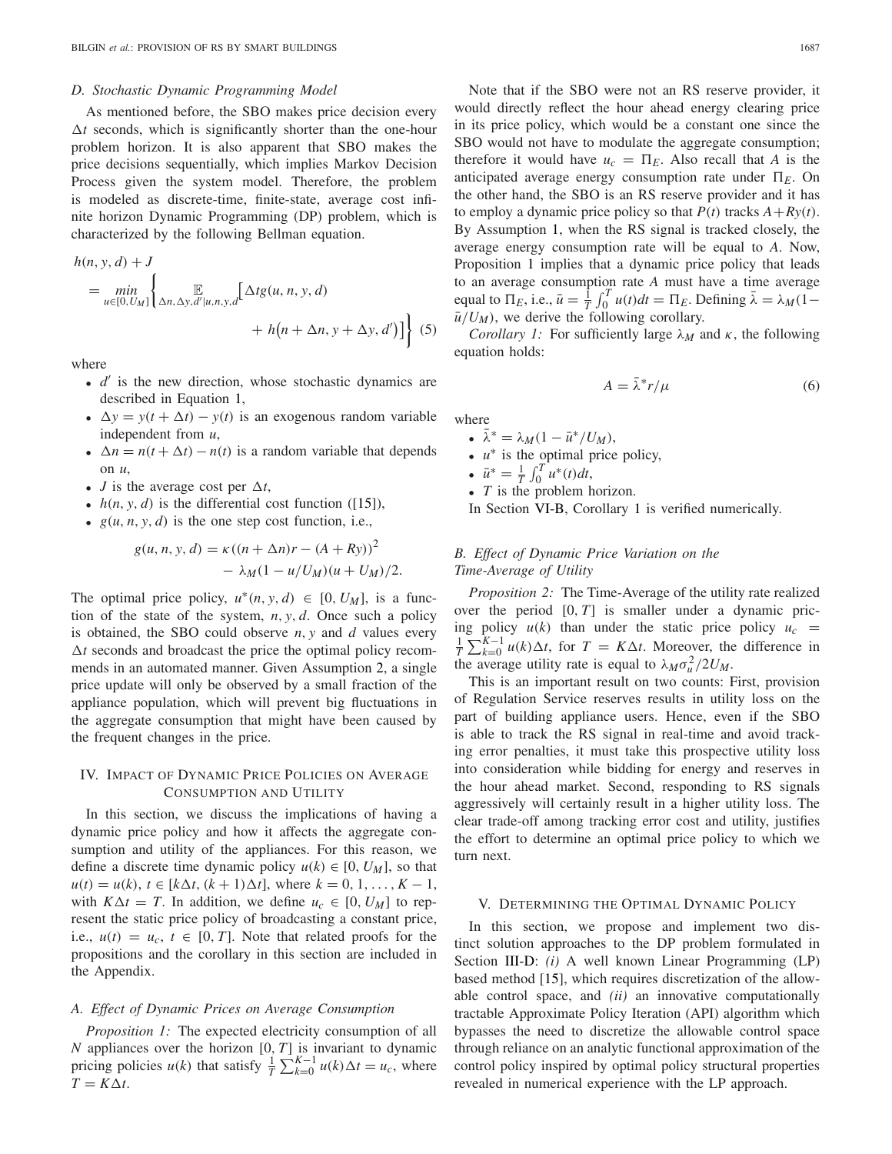#### *D. Stochastic Dynamic Programming Model*

As mentioned before, the SBO makes price decision every  $\Delta t$  seconds, which is significantly shorter than the one-hour problem horizon. It is also apparent that SBO makes the price decisions sequentially, which implies Markov Decision Process given the system model. Therefore, the problem is modeled as discrete-time, finite-state, average cost infinite horizon Dynamic Programming (DP) problem, which is characterized by the following Bellman equation.

$$
h(n, y, d) + J
$$
  
= 
$$
\min_{u \in [0, U_M]} \left\{ \mathop{\mathbb{E}}_{\Delta n, \Delta y, d'|u, n, y, d} [\Delta t g(u, n, y, d) + h(n + \Delta n, y + \Delta y, d')] \right\}
$$
(5)

where

- $\bullet$  *d'* is the new direction, whose stochastic dynamics are described in Equation 1,
- $\Delta y = y(t + \Delta t) y(t)$  is an exogenous random variable independent from *u*,
- $\Delta n = n(t + \Delta t) n(t)$  is a random variable that depends on *u*,
- *J* is the average cost per  $\Delta t$ ,
- $h(n, y, d)$  is the differential cost function ([15]),
- $g(u, n, y, d)$  is the one step cost function, i.e.,

$$
g(u, n, y, d) = \kappa ((n + \Delta n)r - (A + Ry))^{2}
$$
  
-  $\lambda_M (1 - u/U_M)(u + U_M)/2.$ 

The optimal price policy,  $u^*(n, y, d) \in [0, U_M]$ , is a function of the state of the system, *n*, *y*, *d*. Once such a policy is obtained, the SBO could observe *n*, *y* and *d* values every  $\Delta t$  seconds and broadcast the price the optimal policy recommends in an automated manner. Given Assumption 2, a single price update will only be observed by a small fraction of the appliance population, which will prevent big fluctuations in the aggregate consumption that might have been caused by the frequent changes in the price.

# IV. IMPACT OF DYNAMIC PRICE POLICIES ON AVERAGE CONSUMPTION AND UTILITY

In this section, we discuss the implications of having a dynamic price policy and how it affects the aggregate consumption and utility of the appliances. For this reason, we define a discrete time dynamic policy  $u(k) \in [0, U_M]$ , so that  $u(t) = u(k), t \in [k\Delta t, (k+1)\Delta t]$ , where  $k = 0, 1, ..., K - 1$ , with  $K\Delta t = T$ . In addition, we define  $u_c \in [0, U_M]$  to represent the static price policy of broadcasting a constant price, i.e.,  $u(t) = u_c$ ,  $t \in [0, T]$ . Note that related proofs for the propositions and the corollary in this section are included in the Appendix.

#### *A. Effect of Dynamic Prices on Average Consumption*

*Proposition 1:* The expected electricity consumption of all *N* appliances over the horizon [0, *T*] is invariant to dynamic pricing policies *u*(*k*) that satisfy  $\frac{1}{T} \sum_{k=0}^{K-1} u(k) \Delta t = u_c$ , where  $T = K \Delta t$ .

Note that if the SBO were not an RS reserve provider, it would directly reflect the hour ahead energy clearing price in its price policy, which would be a constant one since the SBO would not have to modulate the aggregate consumption; therefore it would have  $u_c = \Pi_E$ . Also recall that *A* is the anticipated average energy consumption rate under  $\Pi_E$ . On the other hand, the SBO is an RS reserve provider and it has to employ a dynamic price policy so that  $P(t)$  tracks  $A + Ry(t)$ . By Assumption 1, when the RS signal is tracked closely, the average energy consumption rate will be equal to *A*. Now, Proposition 1 implies that a dynamic price policy that leads to an average consumption rate *A* must have a time average equal to  $\Pi_E$ , i.e.,  $\bar{u} = \frac{\hat{i}}{T} \int_0^T u(t) dt = \Pi_E$ . Defining  $\bar{\lambda} = \lambda_M (1 - \bar{\lambda})$  $\bar{u}/U_M$ ), we derive the following corollary.

*Corollary 1:* For sufficiently large  $\lambda_M$  and  $\kappa$ , the following equation holds:

$$
A = \bar{\lambda}^* r / \mu \tag{6}
$$

where

- $\bar{\lambda}^* = \lambda_M (1 \bar{u}^*/U_M),$
- *u*<sup>∗</sup> is the optimal price policy,
- $\bar{u}^* = \frac{1}{T} \int_0^T u^*(t) dt,$
- *T* is the problem horizon.

In Section VI-B, Corollary 1 is verified numerically.

# *B. Effect of Dynamic Price Variation on the Time-Average of Utility*

*Proposition 2:* The Time-Average of the utility rate realized over the period [0, *T*] is smaller under a dynamic pricing policy  $u(k)$  than under the static price policy  $u_c$  =  $\frac{1}{T} \sum_{k=0}^{K-1} u(k) \Delta t$ , for *T* = *K* $\Delta t$ . Moreover, the difference in the average utility rate is equal to  $\lambda_M \sigma_u^2 / 2U_M$ .

This is an important result on two counts: First, provision of Regulation Service reserves results in utility loss on the part of building appliance users. Hence, even if the SBO is able to track the RS signal in real-time and avoid tracking error penalties, it must take this prospective utility loss into consideration while bidding for energy and reserves in the hour ahead market. Second, responding to RS signals aggressively will certainly result in a higher utility loss. The clear trade-off among tracking error cost and utility, justifies the effort to determine an optimal price policy to which we turn next.

## V. DETERMINING THE OPTIMAL DYNAMIC POLICY

In this section, we propose and implement two distinct solution approaches to the DP problem formulated in Section III-D: *(i)* A well known Linear Programming (LP) based method [15], which requires discretization of the allowable control space, and *(ii)* an innovative computationally tractable Approximate Policy Iteration (API) algorithm which bypasses the need to discretize the allowable control space through reliance on an analytic functional approximation of the control policy inspired by optimal policy structural properties revealed in numerical experience with the LP approach.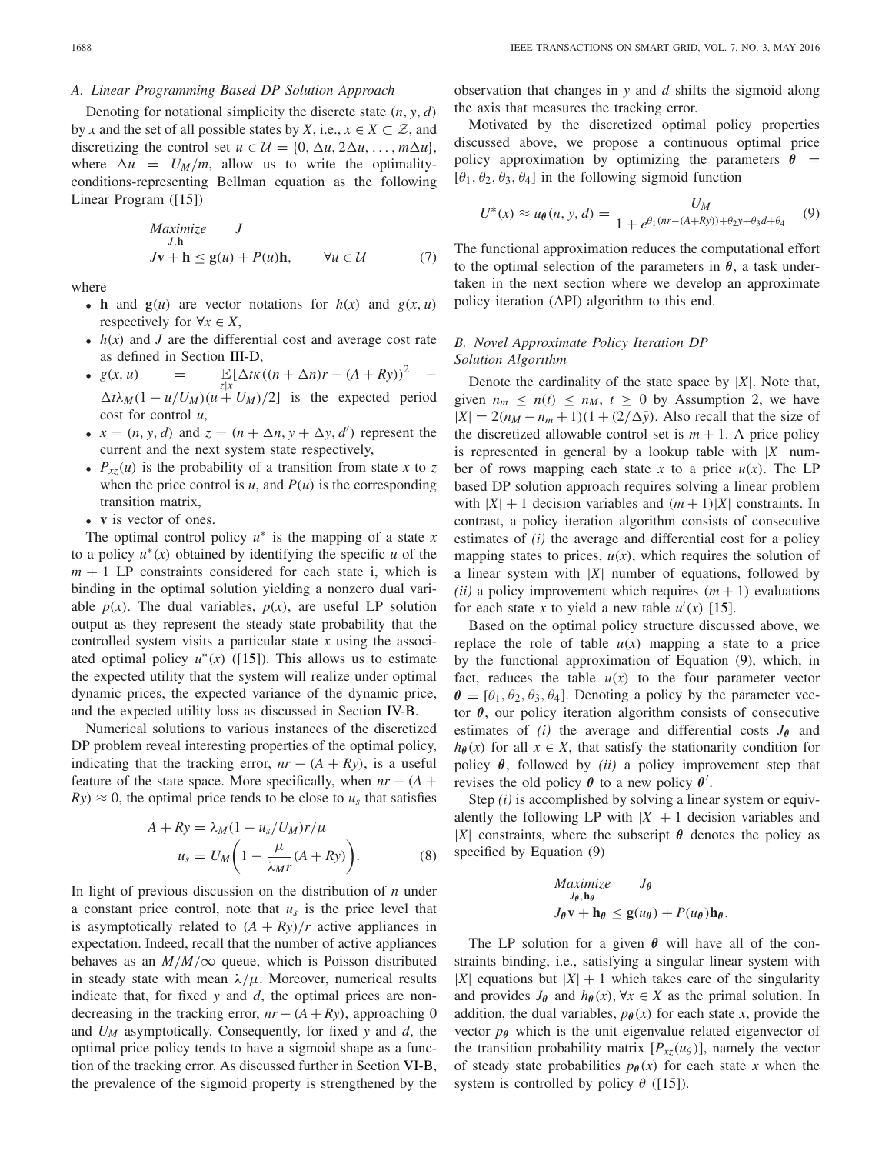### *A. Linear Programming Based DP Solution Approach*

Denoting for notational simplicity the discrete state  $(n, y, d)$ by *x* and the set of all possible states by *X*, i.e.,  $x \in X \subset \mathcal{Z}$ , and discretizing the control set  $u \in \mathcal{U} = \{0, \Delta u, 2\Delta u, \ldots, m\Delta u\},\$ where  $\Delta u = U_M/m$ , allow us to write the optimalityconditions-representing Bellman equation as the following Linear Program ([15])

$$
Maximize J, hJv + h \le g(u) + P(u)h, \qquad \forall u \in \mathcal{U}
$$
 (7)

where

- **h** and  $g(u)$  are vector notations for  $h(x)$  and  $g(x, u)$ respectively for  $\forall x \in X$ ,
- $h(x)$  and *J* are the differential cost and average cost rate as defined in Section III-D,
- $g(x, u) =$  $\mathbb{E}[\Delta t \kappa((n + \Delta n)r - (A + Ry))^2$  −  $\Delta t \lambda_M (1 - u/U_M)(u + U_M)/2$ ] is the expected period cost for control *u*,
- $x = (n, y, d)$  and  $z = (n + \Delta n, y + \Delta y, d')$  represent the current and the next system state respectively,
- $P_{xz}(u)$  is the probability of a transition from state *x* to *z* when the price control is  $u$ , and  $P(u)$  is the corresponding transition matrix,
- **v** is vector of ones.

The optimal control policy  $u^*$  is the mapping of a state  $x$ to a policy *u*∗(*x*) obtained by identifying the specific *u* of the  $m + 1$  LP constraints considered for each state i, which is binding in the optimal solution yielding a nonzero dual variable  $p(x)$ . The dual variables,  $p(x)$ , are useful LP solution output as they represent the steady state probability that the controlled system visits a particular state *x* using the associated optimal policy  $u^*(x)$  ([15]). This allows us to estimate the expected utility that the system will realize under optimal dynamic prices, the expected variance of the dynamic price, and the expected utility loss as discussed in Section IV-B.

Numerical solutions to various instances of the discretized DP problem reveal interesting properties of the optimal policy, indicating that the tracking error,  $nr - (A + Ry)$ , is a useful feature of the state space. More specifically, when  $nr - (A +$  $Ry \approx 0$ , the optimal price tends to be close to  $u_s$  that satisfies

$$
A + Ry = \lambda_M (1 - u_s / U_M) r / \mu
$$
  

$$
u_s = U_M \left( 1 - \frac{\mu}{\lambda_M r} (A + Ry) \right).
$$
 (8)

In light of previous discussion on the distribution of *n* under a constant price control, note that *us* is the price level that is asymptotically related to  $(A + Ry)/r$  active appliances in expectation. Indeed, recall that the number of active appliances behaves as an  $M/M/\infty$  queue, which is Poisson distributed in steady state with mean  $\lambda/\mu$ . Moreover, numerical results indicate that, for fixed *y* and *d*, the optimal prices are nondecreasing in the tracking error,  $nr - (A + Ry)$ , approaching 0 and *UM* asymptotically. Consequently, for fixed *y* and *d*, the optimal price policy tends to have a sigmoid shape as a function of the tracking error. As discussed further in Section VI-B, the prevalence of the sigmoid property is strengthened by the

observation that changes in *y* and *d* shifts the sigmoid along the axis that measures the tracking error.

Motivated by the discretized optimal policy properties discussed above, we propose a continuous optimal price policy approximation by optimizing the parameters  $\theta =$ [ $\theta_1$ ,  $\theta_2$ ,  $\theta_3$ ,  $\theta_4$ ] in the following sigmoid function

$$
U^*(x) \approx u_{\theta}(n, y, d) = \frac{U_M}{1 + e^{\theta_1(nr - (A+Ry)) + \theta_2y + \theta_3d + \theta_4}} \quad (9)
$$

The functional approximation reduces the computational effort to the optimal selection of the parameters in  $\theta$ , a task undertaken in the next section where we develop an approximate policy iteration (API) algorithm to this end.

# *B. Novel Approximate Policy Iteration DP Solution Algorithm*

Denote the cardinality of the state space by  $|X|$ . Note that, given  $n_m \leq n(t) \leq n_M$ ,  $t \geq 0$  by Assumption 2, we have  $|X| = 2(n<sub>M</sub> - n<sub>m</sub> + 1)(1 + (2/\Delta \bar{y})$ . Also recall that the size of the discretized allowable control set is  $m + 1$ . A price policy is represented in general by a lookup table with |*X*| number of rows mapping each state x to a price  $u(x)$ . The LP based DP solution approach requires solving a linear problem with  $|X| + 1$  decision variables and  $(m + 1)|X|$  constraints. In contrast, a policy iteration algorithm consists of consecutive estimates of *(i)* the average and differential cost for a policy mapping states to prices,  $u(x)$ , which requires the solution of a linear system with |*X*| number of equations, followed by *(ii)* a policy improvement which requires  $(m + 1)$  evaluations for each state *x* to yield a new table  $u'(x)$  [15].

Based on the optimal policy structure discussed above, we replace the role of table  $u(x)$  mapping a state to a price by the functional approximation of Equation (9), which, in fact, reduces the table  $u(x)$  to the four parameter vector  $\theta = [\theta_1, \theta_2, \theta_3, \theta_4]$ . Denoting a policy by the parameter vector *θ*, our policy iteration algorithm consists of consecutive estimates of *(i)* the average and differential costs  $J_{\theta}$  and  $h_{\theta}(x)$  for all  $x \in X$ , that satisfy the stationarity condition for policy *θ*, followed by *(ii)* a policy improvement step that revises the old policy  $\theta$  to a new policy  $\theta'$ .

Step *(i)* is accomplished by solving a linear system or equivalently the following LP with  $|X| + 1$  decision variables and |*X*| constraints, where the subscript  $\theta$  denotes the policy as specified by Equation (9)

$$
Maximize\nJθ, hθ\nJθ, hθ\nJθv + hθ \le g(uθ) + P(uθ)hθ.
$$

The LP solution for a given  $\theta$  will have all of the constraints binding, i.e., satisfying a singular linear system with |*X*| equations but  $|X| + 1$  which takes care of the singularity and provides  $J_{\theta}$  and  $h_{\theta}(x)$ ,  $\forall x \in X$  as the primal solution. In addition, the dual variables,  $p_{\theta}(x)$  for each state *x*, provide the vector  $p_{\theta}$  which is the unit eigenvalue related eigenvector of the transition probability matrix  $[P_{xz}(u_{\theta})]$ , namely the vector of steady state probabilities  $p_{\theta}(x)$  for each state *x* when the system is controlled by policy  $\theta$  ([15]).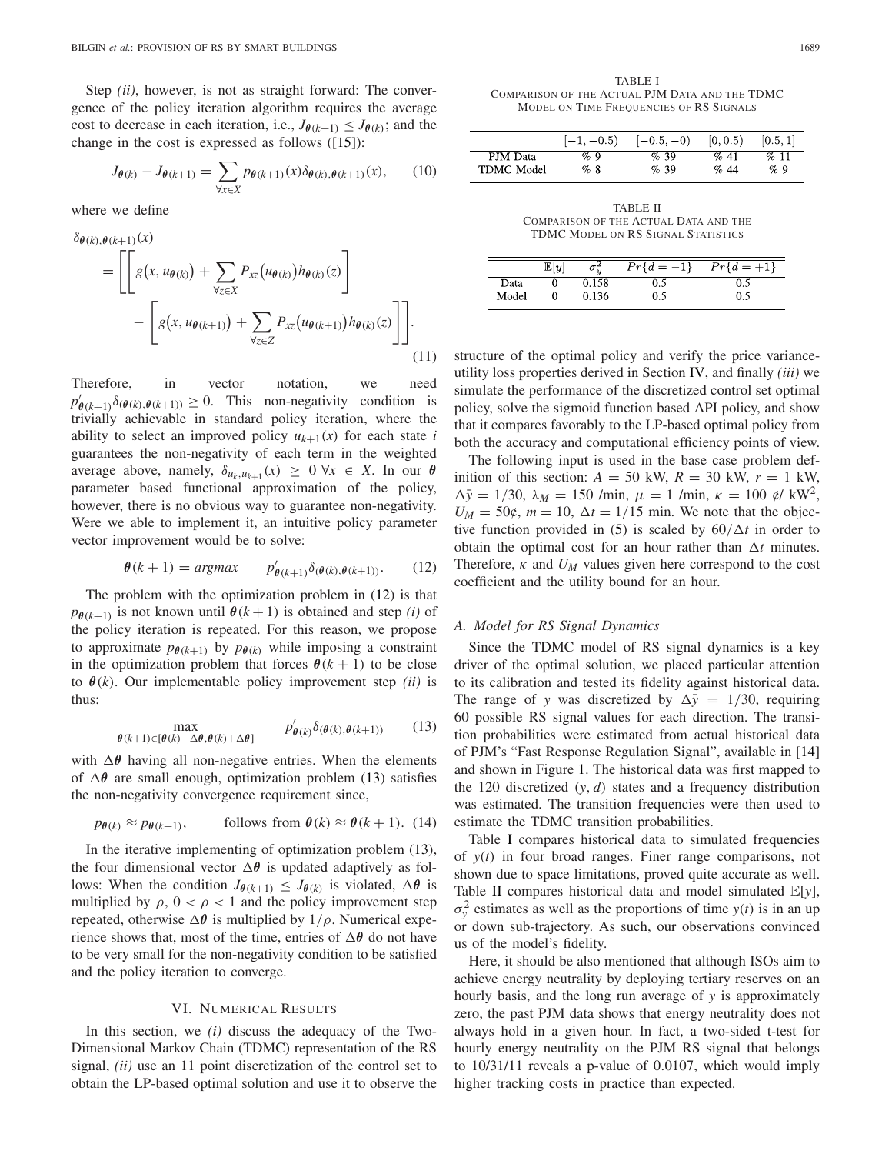Step *(ii)*, however, is not as straight forward: The convergence of the policy iteration algorithm requires the average cost to decrease in each iteration, i.e.,  $J_{\theta(k+1)} \leq J_{\theta(k)}$ ; and the change in the cost is expressed as follows ([15]):

$$
J_{\theta(k)} - J_{\theta(k+1)} = \sum_{\forall x \in X} p_{\theta(k+1)}(x) \delta_{\theta(k), \theta(k+1)}(x), \qquad (10)
$$

where we define

δ*θ*(*k*),*θ*(*k*+1)(*x*)

$$
= \left[ \left[ g(x, u_{\theta(k)}) + \sum_{\forall z \in X} P_{xz}(u_{\theta(k)}) h_{\theta(k)}(z) \right] - \left[ g(x, u_{\theta(k+1)}) + \sum_{\forall z \in Z} P_{xz}(u_{\theta(k+1)}) h_{\theta(k)}(z) \right] \right].
$$
\n(11)

Therefore, in vector notation, we need  $p'_{\theta(k+1)}\delta(\theta(k),\theta(k+1)) \geq 0$ . This non-negativity condition is trivially achievable in standard policy iteration, where the ability to select an improved policy  $u_{k+1}(x)$  for each state *i* guarantees the non-negativity of each term in the weighted average above, namely,  $\delta_{u_k, u_{k+1}}(x) \geq 0 \ \forall x \in X$ . In our  $\theta$ parameter based functional approximation of the policy, however, there is no obvious way to guarantee non-negativity. Were we able to implement it, an intuitive policy parameter vector improvement would be to solve:

$$
\theta(k+1) = argmax \qquad p'_{\theta(k+1)} \delta_{(\theta(k), \theta(k+1))}.
$$
 (12)

The problem with the optimization problem in (12) is that  $p_{\theta(k+1)}$  is not known until  $\theta(k+1)$  is obtained and step *(i)* of the policy iteration is repeated. For this reason, we propose to approximate  $p_{\theta(k+1)}$  by  $p_{\theta(k)}$  while imposing a constraint in the optimization problem that forces  $\theta(k + 1)$  to be close to  $\theta(k)$ . Our implementable policy improvement step *(ii)* is thus:

$$
\max_{\theta(k+1)\in[\theta(k)-\Delta\theta,\theta(k)+\Delta\theta]} \qquad p'_{\theta(k)}\delta_{(\theta(k),\theta(k+1))} \qquad (13)
$$

with  $\Delta\theta$  having all non-negative entries. When the elements of *θ* are small enough, optimization problem (13) satisfies the non-negativity convergence requirement since,

$$
p_{\theta(k)} \approx p_{\theta(k+1)},
$$
 follows from  $\theta(k) \approx \theta(k+1)$ . (14)

In the iterative implementing of optimization problem (13), the four dimensional vector  $\Delta\theta$  is updated adaptively as follows: When the condition  $J_{\theta(k+1)} \leq J_{\theta(k)}$  is violated,  $\Delta\theta$  is multiplied by  $\rho$ ,  $0 < \rho < 1$  and the policy improvement step repeated, otherwise  $\Delta \theta$  is multiplied by  $1/\rho$ . Numerical experience shows that, most of the time, entries of  $\Delta\theta$  do not have to be very small for the non-negativity condition to be satisfied and the policy iteration to converge.

#### VI. NUMERICAL RESULTS

In this section, we *(i)* discuss the adequacy of the Two-Dimensional Markov Chain (TDMC) representation of the RS signal, *(ii)* use an 11 point discretization of the control set to obtain the LP-based optimal solution and use it to observe the

|                   | $ -1, -0.5\rangle$ | $ -0.5,-0\rangle$ | [0, 0.5) | [0.5, 1] |
|-------------------|--------------------|-------------------|----------|----------|
| PJM Data          | $\%9$              | %39               | %41      | %11      |
| <b>TDMC</b> Model | %8                 | %39               | %44      | $\%9$    |

TABLE II COMPARISON OF THE ACTUAL DATA AND THE TDMC MODEL ON RS SIGNAL STATISTICS

|       | $\mathbb{E}[y]$ | $\sigma_{\rm m}$ | $Pr{d = -1}$ | $Pr{d = \overline{+1}}$ |
|-------|-----------------|------------------|--------------|-------------------------|
| Data  |                 | ).158            |              |                         |
| Model |                 | 0.136            |              | 0.5                     |

structure of the optimal policy and verify the price varianceutility loss properties derived in Section IV, and finally *(iii)* we simulate the performance of the discretized control set optimal policy, solve the sigmoid function based API policy, and show that it compares favorably to the LP-based optimal policy from both the accuracy and computational efficiency points of view.

The following input is used in the base case problem definition of this section:  $A = 50$  kW,  $R = 30$  kW,  $r = 1$  kW,  $\Delta \bar{y} = 1/30$ ,  $\lambda_M = 150$  /min,  $\mu = 1$  /min,  $\kappa = 100$  ¢/ kW<sup>2</sup>,  $U_M = 50$ ¢,  $m = 10$ ,  $\Delta t = 1/15$  min. We note that the objective function provided in (5) is scaled by  $60/\Delta t$  in order to obtain the optimal cost for an hour rather than  $\Delta t$  minutes. Therefore,  $\kappa$  and  $U_M$  values given here correspond to the cost coefficient and the utility bound for an hour.

#### *A. Model for RS Signal Dynamics*

Since the TDMC model of RS signal dynamics is a key driver of the optimal solution, we placed particular attention to its calibration and tested its fidelity against historical data. The range of *y* was discretized by  $\Delta \bar{y} = 1/30$ , requiring 60 possible RS signal values for each direction. The transition probabilities were estimated from actual historical data of PJM's "Fast Response Regulation Signal", available in [14] and shown in Figure 1. The historical data was first mapped to the 120 discretized (*y*, *d*) states and a frequency distribution was estimated. The transition frequencies were then used to estimate the TDMC transition probabilities.

Table I compares historical data to simulated frequencies of *y*(*t*) in four broad ranges. Finer range comparisons, not shown due to space limitations, proved quite accurate as well. Table II compares historical data and model simulated E[*y*],  $\sigma_y^2$  estimates as well as the proportions of time  $y(t)$  is in an up or down sub-trajectory. As such, our observations convinced us of the model's fidelity.

Here, it should be also mentioned that although ISOs aim to achieve energy neutrality by deploying tertiary reserves on an hourly basis, and the long run average of *y* is approximately zero, the past PJM data shows that energy neutrality does not always hold in a given hour. In fact, a two-sided t-test for hourly energy neutrality on the PJM RS signal that belongs to 10/31/11 reveals a p-value of 0.0107, which would imply higher tracking costs in practice than expected.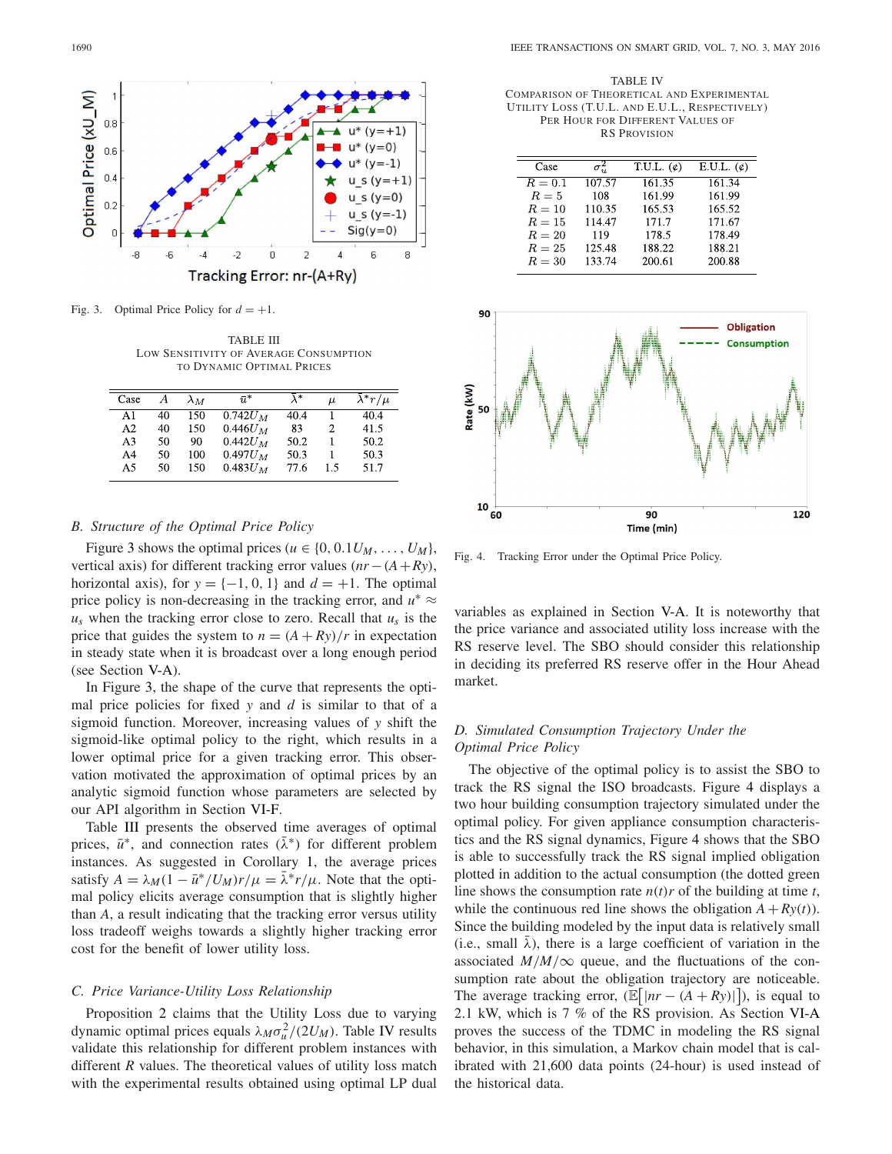

Fig. 3. Optimal Price Policy for  $d = +1$ .

TABLE III LOW SENSITIVITY OF AVERAGE CONSUMPTION TO DYNAMIC OPTIMAL PRICES

| Case | А  | $\lambda_M$ | $\bar{u}^*$ | $\lambda^*$ | $\mu$ | $\lambda^* r / \mu$ |
|------|----|-------------|-------------|-------------|-------|---------------------|
| A1   | 40 | 150         | $0.742U_M$  | 40.4        |       | 40.4                |
| A2   | 40 | 150         | $0.446 U_M$ | 83          | 2     | 41.5                |
| A3   | 50 | 90          | $0.442U_M$  | 50.2        |       | 50.2                |
| A4   | 50 | 100         | $0.497U_M$  | 50.3        |       | 50.3                |
| A5   | 50 | 150         | $0.483U_M$  | 77.6        | 1.5   | 51.7                |

# *B. Structure of the Optimal Price Policy*

Figure 3 shows the optimal prices ( $u \in \{0, 0.1U_M, \ldots, U_M\}$ , vertical axis) for different tracking error values (*nr*−(*A*+*Ry*), horizontal axis), for  $y = \{-1, 0, 1\}$  and  $d = +1$ . The optimal price policy is non-decreasing in the tracking error, and  $u^* \approx$  $u_s$  when the tracking error close to zero. Recall that  $u_s$  is the price that guides the system to  $n = (A + Ry)/r$  in expectation in steady state when it is broadcast over a long enough period (see Section V-A).

In Figure 3, the shape of the curve that represents the optimal price policies for fixed *y* and *d* is similar to that of a sigmoid function. Moreover, increasing values of *y* shift the sigmoid-like optimal policy to the right, which results in a lower optimal price for a given tracking error. This observation motivated the approximation of optimal prices by an analytic sigmoid function whose parameters are selected by our API algorithm in Section VI-F.

Table III presents the observed time averages of optimal prices,  $\bar{u}^*$ , and connection rates ( $\bar{\lambda}^*$ ) for different problem instances. As suggested in Corollary 1, the average prices satisfy  $A = \lambda_M (1 - \bar{u}^*/U_M) r/\mu = \bar{\lambda}^* r/\mu$ . Note that the optimal policy elicits average consumption that is slightly higher than *A*, a result indicating that the tracking error versus utility loss tradeoff weighs towards a slightly higher tracking error cost for the benefit of lower utility loss.

## *C. Price Variance-Utility Loss Relationship*

Proposition 2 claims that the Utility Loss due to varying dynamic optimal prices equals  $\lambda_M \sigma_u^2 / (2U_M)$ . Table IV results validate this relationship for different problem instances with different *R* values. The theoretical values of utility loss match with the experimental results obtained using optimal LP dual

TABLE IV COMPARISON OF THEORETICAL AND EXPERIMENTAL UTILITY LOSS (T.U.L. AND E.U.L., RESPECTIVELY) PER HOUR FOR DIFFERENT VALUES OF RS PROVISION

| Case     |        | T.U.L. $(\phi)$ | E.U.L. $(\phi)$ |
|----------|--------|-----------------|-----------------|
| $R=0.1$  | 107.57 | 161.35          | 161.34          |
| $R=5$    | 108    | 161.99          | 161.99          |
| $R=10$   | 110.35 | 165.53          | 165.52          |
| $R=15$   | 114.47 | 171.7           | 171.67          |
| $R=20$   | 119    | 178.5           | 178.49          |
| $R=25$   | 125.48 | 188.22          | 188.21          |
| $R = 30$ | 133.74 | 200.61          | 200.88          |
|          |        |                 |                 |



Fig. 4. Tracking Error under the Optimal Price Policy.

variables as explained in Section V-A. It is noteworthy that the price variance and associated utility loss increase with the RS reserve level. The SBO should consider this relationship in deciding its preferred RS reserve offer in the Hour Ahead market.

# *D. Simulated Consumption Trajectory Under the Optimal Price Policy*

The objective of the optimal policy is to assist the SBO to track the RS signal the ISO broadcasts. Figure 4 displays a two hour building consumption trajectory simulated under the optimal policy. For given appliance consumption characteristics and the RS signal dynamics, Figure 4 shows that the SBO is able to successfully track the RS signal implied obligation plotted in addition to the actual consumption (the dotted green line shows the consumption rate  $n(t)r$  of the building at time *t*, while the continuous red line shows the obligation  $A + Ry(t)$ . Since the building modeled by the input data is relatively small (i.e., small  $\bar{\lambda}$ ), there is a large coefficient of variation in the associated  $M/M/\infty$  queue, and the fluctuations of the consumption rate about the obligation trajectory are noticeable. The average tracking error,  $(\mathbb{E}[|nr - (A + Ry)|])$ , is equal to 2.1 kW, which is 7 % of the RS provision. As Section VI-A proves the success of the TDMC in modeling the RS signal behavior, in this simulation, a Markov chain model that is calibrated with 21,600 data points (24-hour) is used instead of the historical data.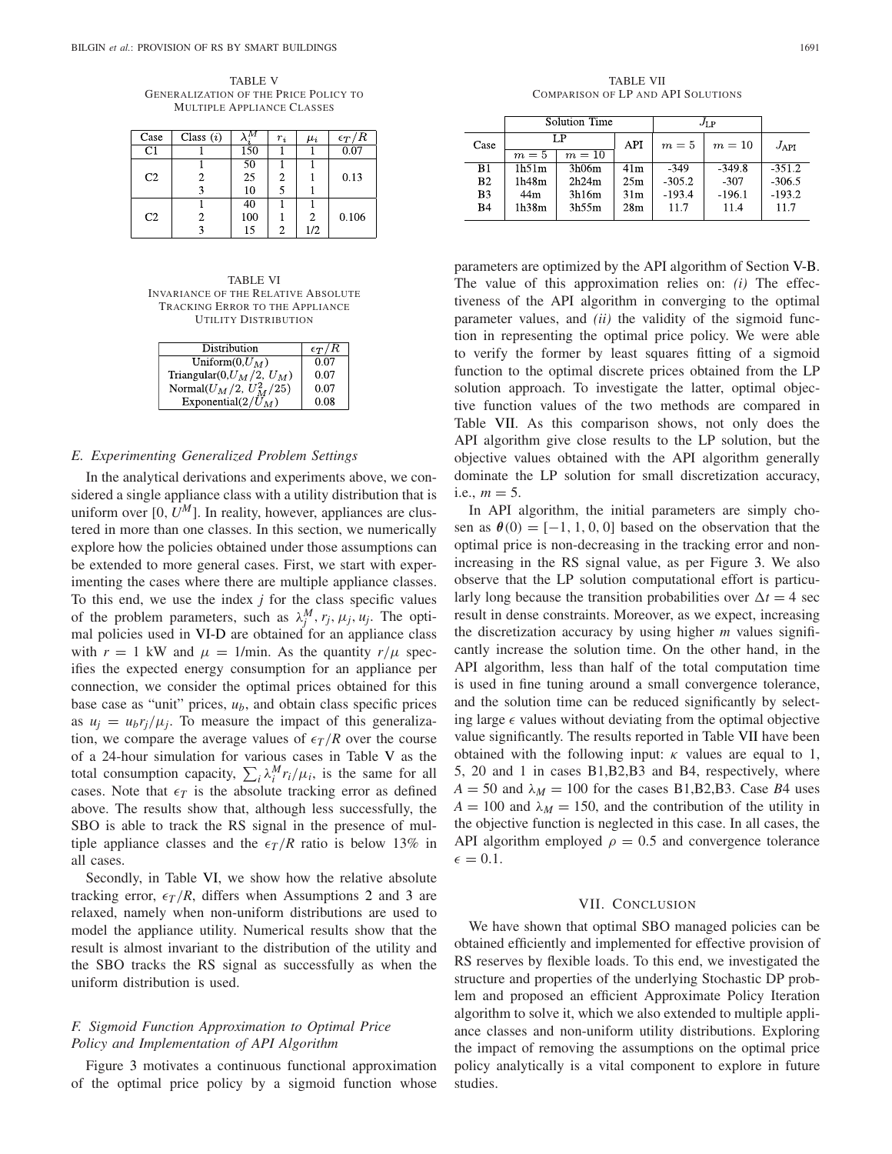TABLE V GENERALIZATION OF THE PRICE POLICY TO MULTIPLE APPLIANCE CLASSES

| Case           | Class $(i)$ |     | $r_i$ | $\mu_i$ | $\epsilon_T/R$ |
|----------------|-------------|-----|-------|---------|----------------|
| C1             |             | 150 |       |         | 0.07           |
|                |             | 50  |       |         |                |
| C <sub>2</sub> | 2           | 25  | 2     |         | 0.13           |
|                |             | 10  | 5     |         |                |
|                |             | 40  |       |         |                |
| C <sub>2</sub> | 2.          | 100 |       |         | 0.106          |
|                |             | 15  | 2     | 1/2     |                |

TABLE VI INVARIANCE OF THE RELATIVE ABSOLUTE TRACKING ERROR TO THE APPLIANCE UTILITY DISTRIBUTION

| <b>Distribution</b>             | $\epsilon_T/R$ |
|---------------------------------|----------------|
| Uniform $(0, U_M)$              | 0.07           |
| Triangular(0, $U_M/2$ , $U_M$ ) | 0.07           |
| Normal $(U_M/2, U_M^2/25)$      | 0.07           |
| Exponential $(2/\tilde{U}_M)$   | 0.08           |

## *E. Experimenting Generalized Problem Settings*

In the analytical derivations and experiments above, we considered a single appliance class with a utility distribution that is uniform over  $[0, U^M]$ . In reality, however, appliances are clustered in more than one classes. In this section, we numerically explore how the policies obtained under those assumptions can be extended to more general cases. First, we start with experimenting the cases where there are multiple appliance classes. To this end, we use the index  $j$  for the class specific values of the problem parameters, such as  $\lambda_j^M$ ,  $r_j$ ,  $\mu_j$ ,  $u_j$ . The optimal policies used in VI-D are obtained for an appliance class with  $r = 1$  kW and  $\mu = 1/\text{min}$ . As the quantity  $r/\mu$  specifies the expected energy consumption for an appliance per connection, we consider the optimal prices obtained for this base case as "unit" prices, *ub*, and obtain class specific prices as  $u_i = u_b r_i / \mu_i$ . To measure the impact of this generalization, we compare the average values of  $\epsilon_T/R$  over the course of a 24-hour simulation for various cases in Table V as the total consumption capacity,  $\sum_i \lambda_i^M r_i / \mu_i$ , is the same for all cases. Note that  $\epsilon_T$  is the absolute tracking error as defined above. The results show that, although less successfully, the SBO is able to track the RS signal in the presence of multiple appliance classes and the  $\epsilon_T/R$  ratio is below 13% in all cases.

Secondly, in Table VI, we show how the relative absolute tracking error,  $\epsilon_T/R$ , differs when Assumptions 2 and 3 are relaxed, namely when non-uniform distributions are used to model the appliance utility. Numerical results show that the result is almost invariant to the distribution of the utility and the SBO tracks the RS signal as successfully as when the uniform distribution is used.

# *F. Sigmoid Function Approximation to Optimal Price Policy and Implementation of API Algorithm*

Figure 3 motivates a continuous functional approximation of the optimal price policy by a sigmoid function whose

TABLE VII COMPARISON OF LP AND API SOLUTIONS

|                | Solution Time |        |                 | $J_{\rm LP}$ |          |               |
|----------------|---------------|--------|-----------------|--------------|----------|---------------|
| Case           | LP            |        | <b>API</b>      | $m=5$        | $m=10$   | $J_{\rm API}$ |
|                | $m=5$         | $m=10$ |                 |              |          |               |
| B1             | 1h51m         | 3h06m  | 41 <sub>m</sub> | $-349$       | $-349.8$ | $-351.2$      |
| B <sub>2</sub> | 1h48m         | 2h24m  | 25m             | $-305.2$     | $-307$   | $-306.5$      |
| B <sub>3</sub> | 44m           | 3h16m  | 31 <sub>m</sub> | $-193.4$     | $-196.1$ | $-193.2$      |
| <b>B4</b>      | 1h38m         | 3h55m  | 28 <sub>m</sub> | 11.7         | 11.4     | 11.7          |
|                |               |        |                 |              |          |               |

parameters are optimized by the API algorithm of Section V-B. The value of this approximation relies on: *(i)* The effectiveness of the API algorithm in converging to the optimal parameter values, and *(ii)* the validity of the sigmoid function in representing the optimal price policy. We were able to verify the former by least squares fitting of a sigmoid function to the optimal discrete prices obtained from the LP solution approach. To investigate the latter, optimal objective function values of the two methods are compared in Table VII. As this comparison shows, not only does the API algorithm give close results to the LP solution, but the objective values obtained with the API algorithm generally dominate the LP solution for small discretization accuracy, i.e.,  $m = 5$ .

In API algorithm, the initial parameters are simply chosen as  $\theta(0) = [-1, 1, 0, 0]$  based on the observation that the optimal price is non-decreasing in the tracking error and nonincreasing in the RS signal value, as per Figure 3. We also observe that the LP solution computational effort is particularly long because the transition probabilities over  $\Delta t = 4$  sec result in dense constraints. Moreover, as we expect, increasing the discretization accuracy by using higher *m* values significantly increase the solution time. On the other hand, in the API algorithm, less than half of the total computation time is used in fine tuning around a small convergence tolerance, and the solution time can be reduced significantly by selecting large  $\epsilon$  values without deviating from the optimal objective value significantly. The results reported in Table VII have been obtained with the following input:  $\kappa$  values are equal to 1, 5, 20 and 1 in cases B1,B2,B3 and B4, respectively, where  $A = 50$  and  $\lambda_M = 100$  for the cases B1, B2, B3. Case *B*4 uses  $A = 100$  and  $\lambda_M = 150$ , and the contribution of the utility in the objective function is neglected in this case. In all cases, the API algorithm employed  $\rho = 0.5$  and convergence tolerance  $\epsilon = 0.1.$ 

## VII. CONCLUSION

We have shown that optimal SBO managed policies can be obtained efficiently and implemented for effective provision of RS reserves by flexible loads. To this end, we investigated the structure and properties of the underlying Stochastic DP problem and proposed an efficient Approximate Policy Iteration algorithm to solve it, which we also extended to multiple appliance classes and non-uniform utility distributions. Exploring the impact of removing the assumptions on the optimal price policy analytically is a vital component to explore in future studies.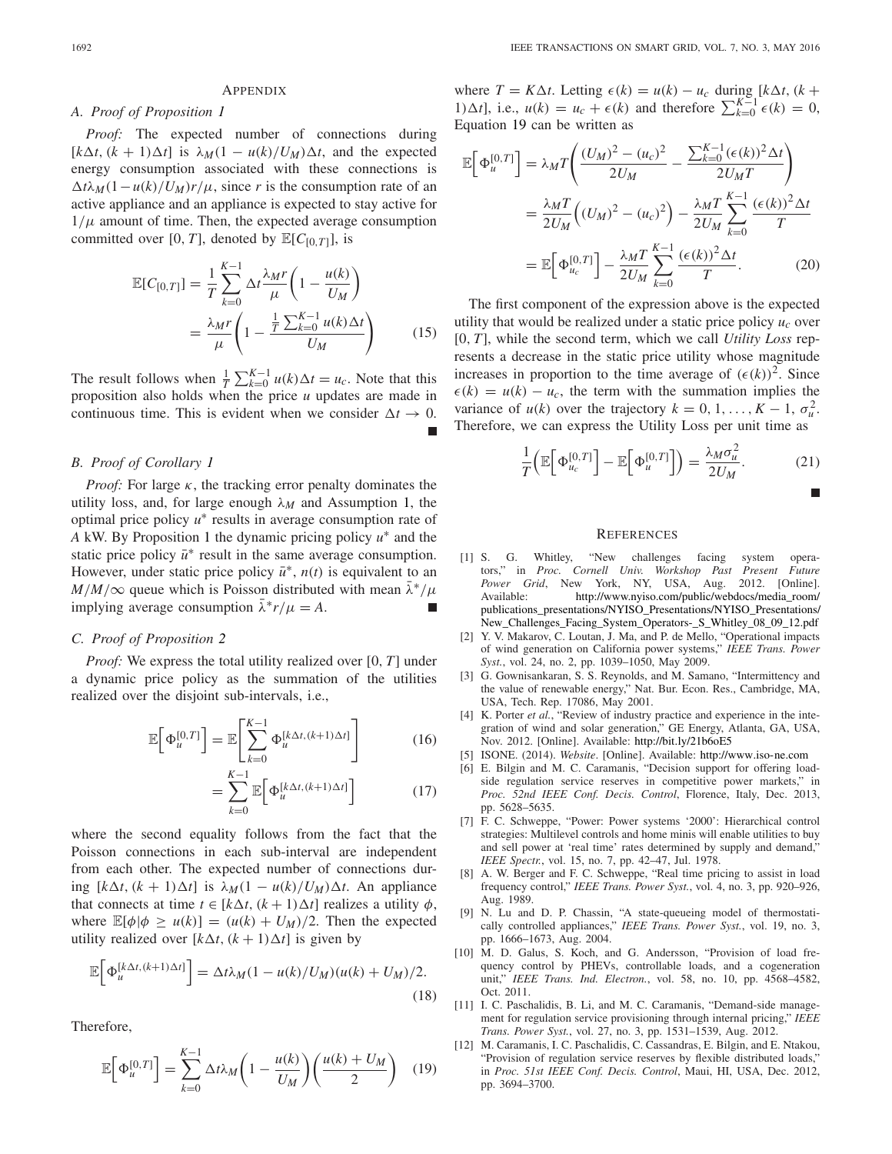#### **APPENDIX**

# *A. Proof of Proposition 1*

*Proof:* The expected number of connections during  $[k\Delta t, (k+1)\Delta t]$  is  $\lambda_M(1 - u(k)/U_M)\Delta t$ , and the expected energy consumption associated with these connections is  $\Delta t \lambda_M (1 - u(k)/U_M) r/\mu$ , since *r* is the consumption rate of an active appliance and an appliance is expected to stay active for  $1/\mu$  amount of time. Then, the expected average consumption committed over [0, *T*], denoted by  $\mathbb{E}[C_{[0,T]}]$ , is

$$
\mathbb{E}[C_{[0,T]}] = \frac{1}{T} \sum_{k=0}^{K-1} \Delta t \frac{\lambda_M r}{\mu} \left( 1 - \frac{u(k)}{U_M} \right)
$$

$$
= \frac{\lambda_M r}{\mu} \left( 1 - \frac{\frac{1}{T} \sum_{k=0}^{K-1} u(k) \Delta t}{U_M} \right) \tag{15}
$$

The result follows when  $\frac{1}{T} \sum_{k=0}^{K-1} u(k) \Delta t = u_c$ . Note that this proposition also holds when the price *u* updates are made in continuous time. This is evident when we consider  $\Delta t \rightarrow 0$ .

## *B. Proof of Corollary 1*

*Proof:* For large  $\kappa$ , the tracking error penalty dominates the utility loss, and, for large enough  $\lambda_M$  and Assumption 1, the optimal price policy *u*<sup>∗</sup> results in average consumption rate of *A* kW. By Proposition 1 the dynamic pricing policy *u*<sup>∗</sup> and the static price policy  $\bar{u}^*$  result in the same average consumption. However, under static price policy  $\bar{u}^*$ ,  $n(t)$  is equivalent to an  $M/M/\infty$  queue which is Poisson distributed with mean  $\lambda^*/\mu$ implying average consumption  $\lambda^* r / \mu = A$ .

# *C. Proof of Proposition 2*

*Proof:* We express the total utility realized over [0, *T*] under a dynamic price policy as the summation of the utilities realized over the disjoint sub-intervals, i.e.,

$$
\mathbb{E}\bigg[\Phi_u^{[0,T]}\bigg] = \mathbb{E}\bigg[\sum_{k=0}^{K-1} \Phi_u^{[k\Delta t, (k+1)\Delta t]}\bigg]
$$
(16)

$$
= \sum_{k=0}^{K-1} \mathbb{E}\Big[\Phi_u^{[k\Delta t, (k+1)\Delta t]}\Big]
$$
(17)

where the second equality follows from the fact that the Poisson connections in each sub-interval are independent from each other. The expected number of connections during  $[k\Delta t, (k+1)\Delta t]$  is  $\lambda_M(1 - u(k)/U_M)\Delta t$ . An appliance that connects at time  $t \in [k\Delta t, (k+1)\Delta t]$  realizes a utility  $\phi$ , where  $\mathbb{E}[\phi | \phi \ge u(k)] = (u(k) + U_M)/2$ . Then the expected utility realized over  $[k\Delta t, (k+1)\Delta t]$  is given by

$$
\mathbb{E}\Big[\Phi_{u}^{[k\Delta t,(k+1)\Delta t]}\Big] = \Delta t \lambda_M (1 - u(k)/U_M)(u(k) + U_M)/2.
$$
\n(18)

Therefore,

$$
\mathbb{E}\Big[\Phi_u^{[0,T]}\Big] = \sum_{k=0}^{K-1} \Delta t \lambda_M \bigg(1 - \frac{u(k)}{U_M}\bigg) \bigg(\frac{u(k) + U_M}{2}\bigg) \tag{19}
$$

where  $T = K\Delta t$ . Letting  $\epsilon(k) = u(k) - u_c$  during  $[k\Delta t, (k +$ 1)∆*t*], i.e.,  $u(k) = u_c + \epsilon(k)$  and therefore  $\sum_{k=0}^{K-1} \epsilon(k) = 0$ , Equation 19 can be written as

$$
\mathbb{E}\left[\Phi_{u}^{[0,T]}\right] = \lambda_{M}T\left(\frac{(U_{M})^{2} - (u_{c})^{2}}{2U_{M}} - \frac{\sum_{k=0}^{K-1}(\epsilon(k))^{2}\Delta t}{2U_{M}T}\right)
$$
\n
$$
= \frac{\lambda_{M}T}{2U_{M}}\left((U_{M})^{2} - (u_{c})^{2}\right) - \frac{\lambda_{M}T}{2U_{M}}\sum_{k=0}^{K-1}\frac{(\epsilon(k))^{2}\Delta t}{T}
$$
\n
$$
= \mathbb{E}\left[\Phi_{u_{c}}^{[0,T]}\right] - \frac{\lambda_{M}T}{2U_{M}}\sum_{k=0}^{K-1}\frac{(\epsilon(k))^{2}\Delta t}{T}.
$$
\n(20)

The first component of the expression above is the expected utility that would be realized under a static price policy  $u_c$  over [0, *T*], while the second term, which we call *Utility Loss* represents a decrease in the static price utility whose magnitude increases in proportion to the time average of  $(\epsilon(k))^2$ . Since  $\epsilon(k) = u(k) - u_c$ , the term with the summation implies the variance of  $u(k)$  over the trajectory  $k = 0, 1, ..., K - 1, \sigma_u^2$ . Therefore, we can express the Utility Loss per unit time as

$$
\frac{1}{T}\left(\mathbb{E}\left[\Phi_{u_c}^{[0,T]}\right]-\mathbb{E}\left[\Phi_{u}^{[0,T]}\right]\right)=\frac{\lambda_M\sigma_u^2}{2U_M}.\tag{21}
$$

$$
\blacksquare
$$

## **REFERENCES**

- [1] S. G. Whitley, "New challenges facing system operators," in *Proc. Cornell Univ. Workshop Past Present Future Power Grid*, New York, NY, USA, Aug. 2012. [Online]. Available: http://www.nyiso.com/public/webdocs/media\_room/ publications\_presentations/NYISO\_Presentations/NYISO\_Presentations/ New\_Challenges\_Facing\_System\_Operators-\_S\_Whitley\_08\_09\_12.pdf
- [2] Y. V. Makarov, C. Loutan, J. Ma, and P. de Mello, "Operational impacts of wind generation on California power systems," *IEEE Trans. Power Syst.*, vol. 24, no. 2, pp. 1039–1050, May 2009.
- [3] G. Gownisankaran, S. S. Reynolds, and M. Samano, "Intermittency and the value of renewable energy," Nat. Bur. Econ. Res., Cambridge, MA, USA, Tech. Rep. 17086, May 2001.
- [4] K. Porter *et al.*, "Review of industry practice and experience in the integration of wind and solar generation," GE Energy, Atlanta, GA, USA, Nov. 2012. [Online]. Available: http://bit.ly/21b6oE5
- [5] ISONE. (2014). *Website*. [Online]. Available: http://www.iso-ne.com
- [6] E. Bilgin and M. C. Caramanis, "Decision support for offering loadside regulation service reserves in competitive power markets," in *Proc. 52nd IEEE Conf. Decis. Control*, Florence, Italy, Dec. 2013, pp. 5628–5635.
- [7] F. C. Schweppe, "Power: Power systems '2000': Hierarchical control strategies: Multilevel controls and home minis will enable utilities to buy and sell power at 'real time' rates determined by supply and demand," *IEEE Spectr.*, vol. 15, no. 7, pp. 42–47, Jul. 1978.
- [8] A. W. Berger and F. C. Schweppe, "Real time pricing to assist in load frequency control," *IEEE Trans. Power Syst.*, vol. 4, no. 3, pp. 920–926, Aug. 1989.
- [9] N. Lu and D. P. Chassin, "A state-queueing model of thermostatically controlled appliances," *IEEE Trans. Power Syst.*, vol. 19, no. 3, pp. 1666–1673, Aug. 2004.
- [10] M. D. Galus, S. Koch, and G. Andersson, "Provision of load frequency control by PHEVs, controllable loads, and a cogeneration unit," *IEEE Trans. Ind. Electron.*, vol. 58, no. 10, pp. 4568–4582, Oct. 2011.
- [11] I. C. Paschalidis, B. Li, and M. C. Caramanis, "Demand-side management for regulation service provisioning through internal pricing," *IEEE Trans. Power Syst.*, vol. 27, no. 3, pp. 1531–1539, Aug. 2012.
- [12] M. Caramanis, I. C. Paschalidis, C. Cassandras, E. Bilgin, and E. Ntakou, "Provision of regulation service reserves by flexible distributed loads," in *Proc. 51st IEEE Conf. Decis. Control*, Maui, HI, USA, Dec. 2012, pp. 3694–3700.